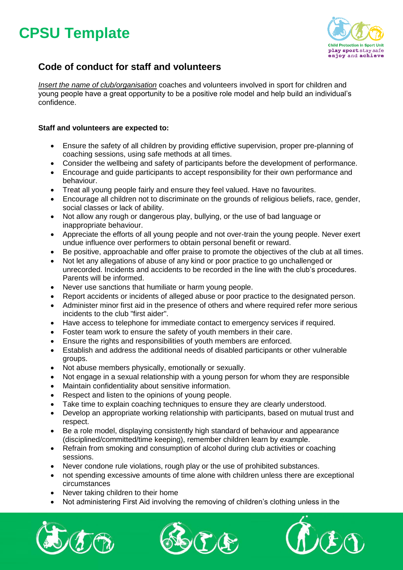## **CPSU Template**



### **Code of conduct for staff and volunteers**

*Insert the name of club/organisation* coaches and volunteers involved in sport for children and young people have a great opportunity to be a positive role model and help build an individual's confidence.

#### **Staff and volunteers are expected to:**

- Ensure the safety of all children by providing effictive supervision, proper pre-planning of coaching sessions, using safe methods at all times.
- Consider the wellbeing and safety of participants before the development of performance.
- Encourage and guide participants to accept responsibility for their own performance and behaviour.
- Treat all young people fairly and ensure they feel valued. Have no favourites.
- Encourage all children not to discriminate on the grounds of religious beliefs, race, gender, social classes or lack of ability.
- Not allow any rough or dangerous play, bullying, or the use of bad language or inappropriate behaviour.
- Appreciate the efforts of all young people and not over-train the young people. Never exert undue influence over performers to obtain personal benefit or reward.
- Be positive, approachable and offer praise to promote the objectives of the club at all times.
- Not let any allegations of abuse of any kind or poor practice to go unchallenged or unrecorded. Incidents and accidents to be recorded in the line with the club's procedures. Parents will be informed.
- Never use sanctions that humiliate or harm young people.
- Report accidents or incidents of alleged abuse or poor practice to the designated person.
- Administer minor first aid in the presence of others and where required refer more serious incidents to the club "first aider".
- Have access to telephone for immediate contact to emergency services if required.
- Foster team work to ensure the safety of youth members in their care.
- Ensure the rights and responsibilities of youth members are enforced.
- Establish and address the additional needs of disabled participants or other vulnerable groups.
- Not abuse members physically, emotionally or sexually.
- Not engage in a sexual relationship with a young person for whom they are responsible
- Maintain confidentiality about sensitive information.
- Respect and listen to the opinions of young people.
- Take time to explain coaching techniques to ensure they are clearly understood.
- Develop an appropriate working relationship with participants, based on mutual trust and respect.
- Be a role model, displaying consistently high standard of behaviour and appearance (disciplined/committed/time keeping), remember children learn by example.
- Refrain from smoking and consumption of alcohol during club activities or coaching sessions.
- Never condone rule violations, rough play or the use of prohibited substances.
- not spending excessive amounts of time alone with children unless there are exceptional circumstances
- Never taking children to their home
- Not administering First Aid involving the removing of children's clothing unless in the





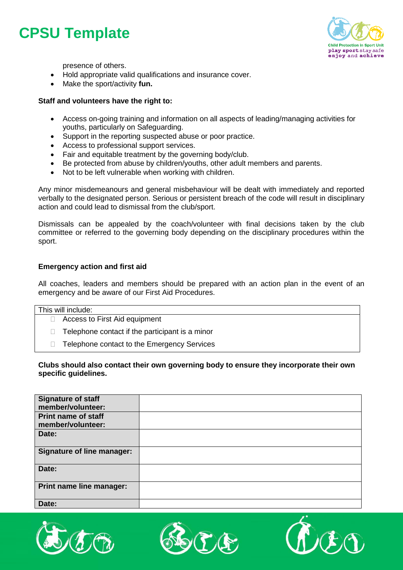## **CPSU Template**



presence of others.

- Hold appropriate valid qualifications and insurance cover.
- Make the sport/activity **fun.**

#### **Staff and volunteers have the right to:**

- Access on-going training and information on all aspects of leading/managing activities for youths, particularly on Safeguarding.
- Support in the reporting suspected abuse or poor practice.
- Access to professional support services.
- Fair and equitable treatment by the governing body/club.
- Be protected from abuse by children/youths, other adult members and parents.
- Not to be left vulnerable when working with children.

Any minor misdemeanours and general misbehaviour will be dealt with immediately and reported verbally to the designated person. Serious or persistent breach of the code will result in disciplinary action and could lead to dismissal from the club/sport.

Dismissals can be appealed by the coach/volunteer with final decisions taken by the club committee or referred to the governing body depending on the disciplinary procedures within the sport.

#### **Emergency action and first aid**

All coaches, leaders and members should be prepared with an action plan in the event of an emergency and be aware of our First Aid Procedures.

| This will include:                   |
|--------------------------------------|
| $\Box$ Access to First Aid equipment |

- $\Box$  Telephone contact if the participant is a minor
- $\Box$  Telephone contact to the Emergency Services

#### **Clubs should also contact their own governing body to ensure they incorporate their own specific guidelines.**

| <b>Signature of staff</b><br>member/volunteer:  |  |
|-------------------------------------------------|--|
| <b>Print name of staff</b><br>member/volunteer: |  |
| Date:                                           |  |
| <b>Signature of line manager:</b>               |  |
| Date:                                           |  |
| Print name line manager:                        |  |
| Date:                                           |  |